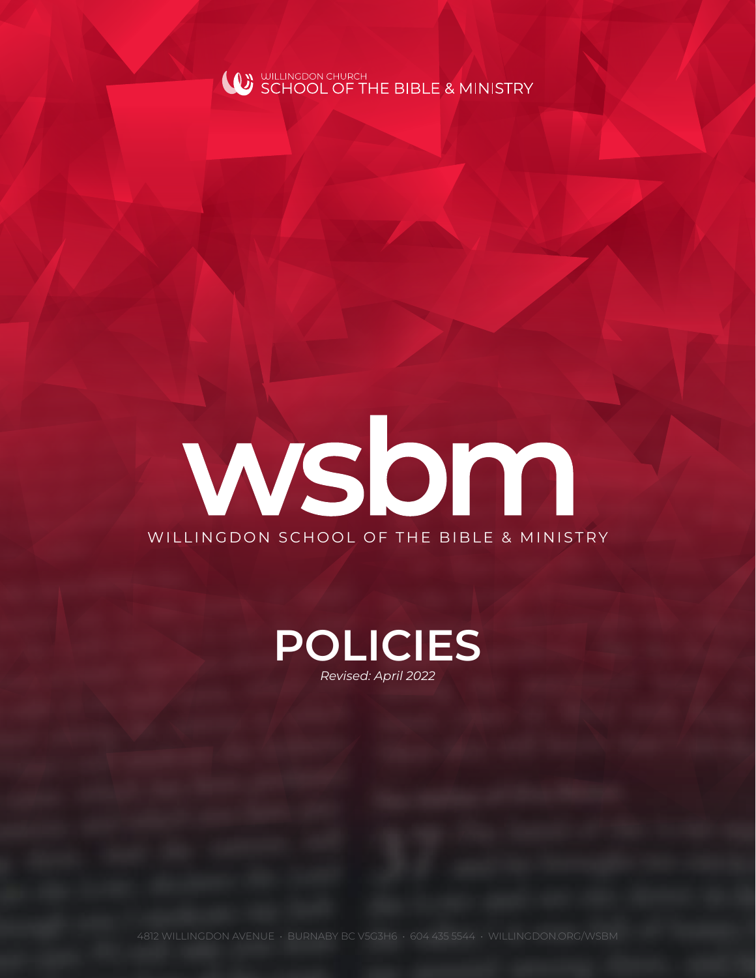

# wsbm WILLINGDON SCHOOL OF THE BIBLE & MINISTRY

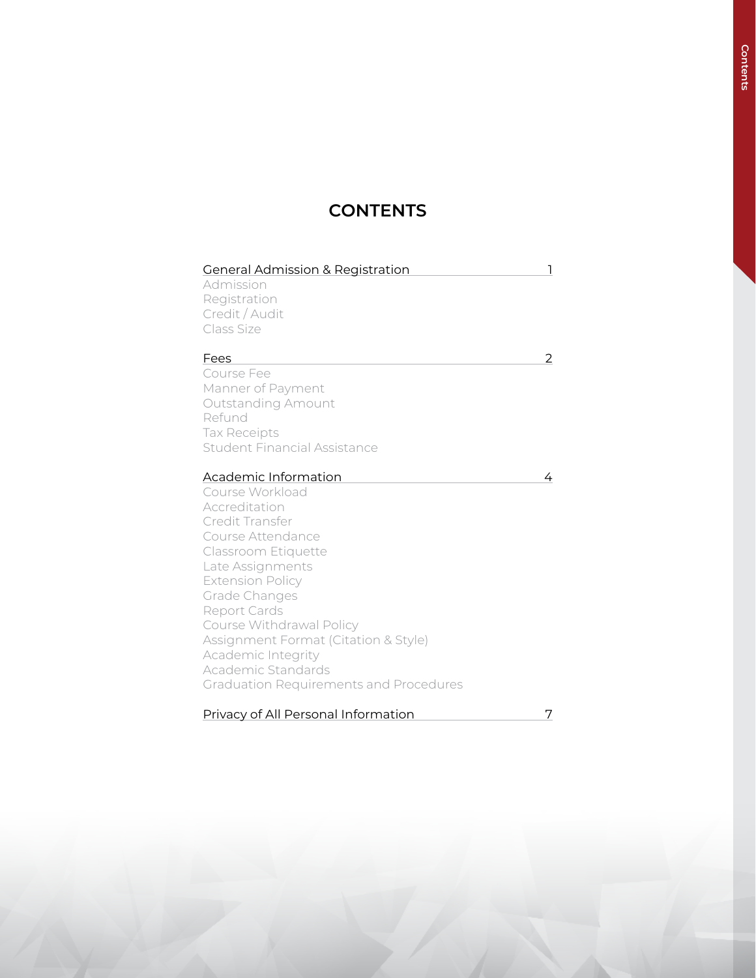# **CONTENTS**

| <b>General Admission &amp; Registration</b>   |   |
|-----------------------------------------------|---|
| Admission                                     |   |
| Registration                                  |   |
| Credit / Audit                                |   |
| Class Size                                    |   |
|                                               |   |
| Fees                                          | 2 |
| Course Fee                                    |   |
| Manner of Payment                             |   |
| <b>Outstanding Amount</b>                     |   |
| Refund                                        |   |
| <b>Tax Receipts</b>                           |   |
| <b>Student Financial Assistance</b>           |   |
|                                               |   |
| Academic Information                          | 4 |
| Course Workload                               |   |
| Accreditation                                 |   |
| Credit Transfer                               |   |
| Course Attendance                             |   |
| Classroom Etiquette                           |   |
| Late Assignments                              |   |
| <b>Extension Policy</b>                       |   |
| Grade Changes                                 |   |
| Report Cards                                  |   |
| Course Withdrawal Policy                      |   |
| Assignment Format (Citation & Style)          |   |
| Academic Integrity                            |   |
| Academic Standards                            |   |
| <b>Graduation Requirements and Procedures</b> |   |
|                                               |   |
| Privacy of All Personal Information           | 7 |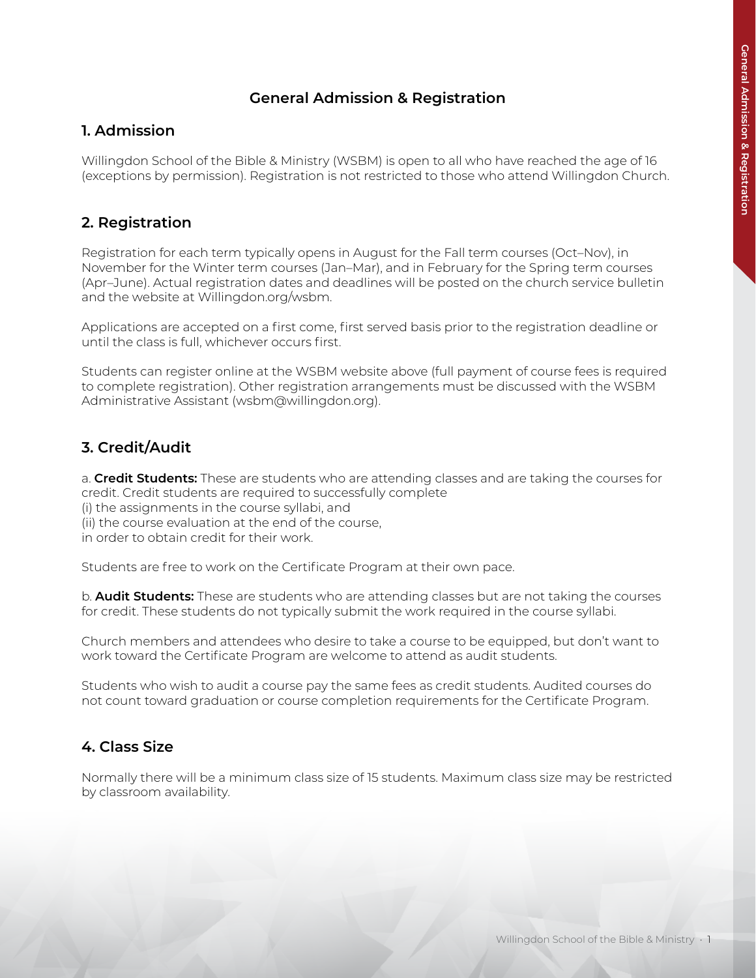#### **General Admission & Registration**

#### **1. Admission**

Willingdon School of the Bible & Ministry (WSBM) is open to all who have reached the age of 16 (exceptions by permission). Registration is not restricted to those who attend Willingdon Church.

# **2. Registration**

Registration for each term typically opens in August for the Fall term courses (Oct–Nov), in November for the Winter term courses (Jan–Mar), and in February for the Spring term courses (Apr–June). Actual registration dates and deadlines will be posted on the church service bulletin and the website at Willingdon.org/wsbm.

Applications are accepted on a first come, first served basis prior to the registration deadline or until the class is full, whichever occurs first.

Students can register online at the WSBM website above (full payment of course fees is required to complete registration). Other registration arrangements must be discussed with the WSBM Administrative Assistant (wsbm@willingdon.org).

## **3. Credit/Audit**

a. **Credit Students:** These are students who are attending classes and are taking the courses for credit. Credit students are required to successfully complete

(i) the assignments in the course syllabi, and

(ii) the course evaluation at the end of the course,

in order to obtain credit for their work.

Students are free to work on the Certificate Program at their own pace.

b. **Audit Students:** These are students who are attending classes but are not taking the courses for credit. These students do not typically submit the work required in the course syllabi.

Church members and attendees who desire to take a course to be equipped, but don't want to work toward the Certificate Program are welcome to attend as audit students.

Students who wish to audit a course pay the same fees as credit students. Audited courses do not count toward graduation or course completion requirements for the Certificate Program.

#### **4. Class Size**

Normally there will be a minimum class size of 15 students. Maximum class size may be restricted by classroom availability.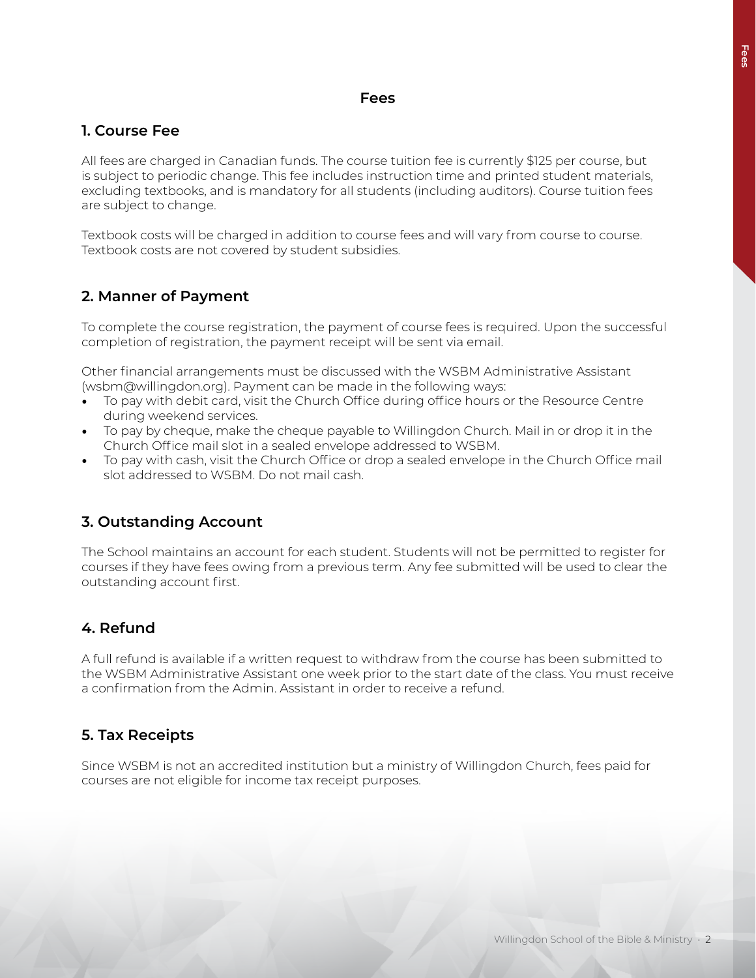#### **Fees**

#### **1. Course Fee**

All fees are charged in Canadian funds. The course tuition fee is currently \$125 per course, but is subject to periodic change. This fee includes instruction time and printed student materials, excluding textbooks, and is mandatory for all students (including auditors). Course tuition fees are subject to change.

Textbook costs will be charged in addition to course fees and will vary from course to course. Textbook costs are not covered by student subsidies.

#### **2. Manner of Payment**

To complete the course registration, the payment of course fees is required. Upon the successful completion of registration, the payment receipt will be sent via email.

Other financial arrangements must be discussed with the WSBM Administrative Assistant (wsbm@willingdon.org). Payment can be made in the following ways:

- To pay with debit card, visit the Church Office during office hours or the Resource Centre during weekend services.
- To pay by cheque, make the cheque payable to Willingdon Church. Mail in or drop it in the Church Office mail slot in a sealed envelope addressed to WSBM.
- To pay with cash, visit the Church Office or drop a sealed envelope in the Church Office mail slot addressed to WSBM. Do not mail cash.

#### **3. Outstanding Account**

The School maintains an account for each student. Students will not be permitted to register for courses if they have fees owing from a previous term. Any fee submitted will be used to clear the outstanding account first.

#### **4. Refund**

A full refund is available if a written request to withdraw from the course has been submitted to the WSBM Administrative Assistant one week prior to the start date of the class. You must receive a confirmation from the Admin. Assistant in order to receive a refund.

#### **5. Tax Receipts**

Since WSBM is not an accredited institution but a ministry of Willingdon Church, fees paid for courses are not eligible for income tax receipt purposes.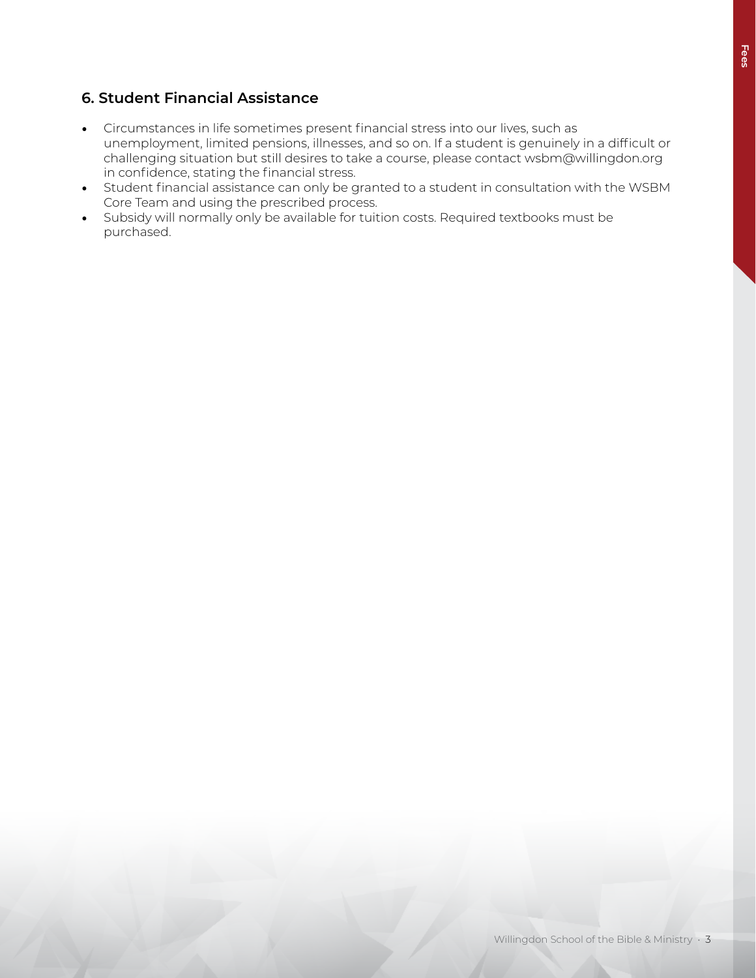# **6. Student Financial Assistance**

- Circumstances in life sometimes present financial stress into our lives, such as unemployment, limited pensions, illnesses, and so on. If a student is genuinely in a difficult or challenging situation but still desires to take a course, please contact wsbm@willingdon.org in confidence, stating the financial stress.
- Student financial assistance can only be granted to a student in consultation with the WSBM Core Team and using the prescribed process.
- Subsidy will normally only be available for tuition costs. Required textbooks must be purchased.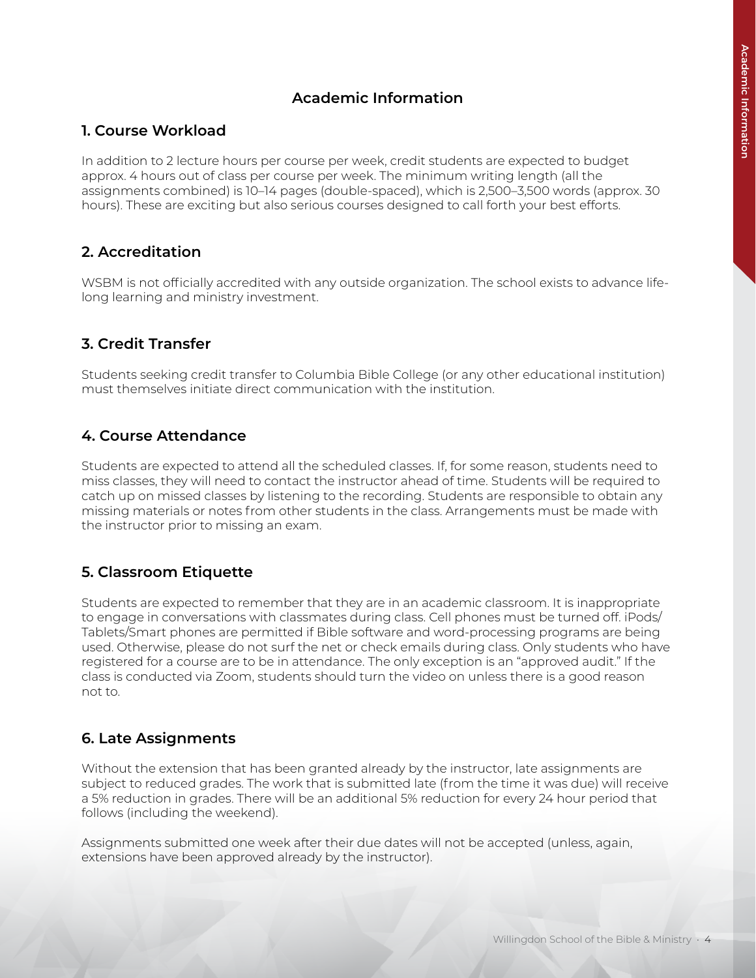# **Academic Information**

#### **1. Course Workload**

In addition to 2 lecture hours per course per week, credit students are expected to budget approx. 4 hours out of class per course per week. The minimum writing length (all the assignments combined) is 10–14 pages (double-spaced), which is 2,500–3,500 words (approx. 30 hours). These are exciting but also serious courses designed to call forth your best efforts.

#### **2. Accreditation**

WSBM is not officially accredited with any outside organization. The school exists to advance lifelong learning and ministry investment.

## **3. Credit Transfer**

Students seeking credit transfer to Columbia Bible College (or any other educational institution) must themselves initiate direct communication with the institution.

#### **4. Course Attendance**

Students are expected to attend all the scheduled classes. If, for some reason, students need to miss classes, they will need to contact the instructor ahead of time. Students will be required to catch up on missed classes by listening to the recording. Students are responsible to obtain any missing materials or notes from other students in the class. Arrangements must be made with the instructor prior to missing an exam.

#### **5. Classroom Etiquette**

Students are expected to remember that they are in an academic classroom. It is inappropriate to engage in conversations with classmates during class. Cell phones must be turned off. iPods/ Tablets/Smart phones are permitted if Bible software and word-processing programs are being used. Otherwise, please do not surf the net or check emails during class. Only students who have registered for a course are to be in attendance. The only exception is an "approved audit." If the class is conducted via Zoom, students should turn the video on unless there is a good reason not to.

#### **6. Late Assignments**

Without the extension that has been granted already by the instructor, late assignments are subject to reduced grades. The work that is submitted late (from the time it was due) will receive a 5% reduction in grades. There will be an additional 5% reduction for every 24 hour period that follows (including the weekend).

Assignments submitted one week after their due dates will not be accepted (unless, again, extensions have been approved already by the instructor).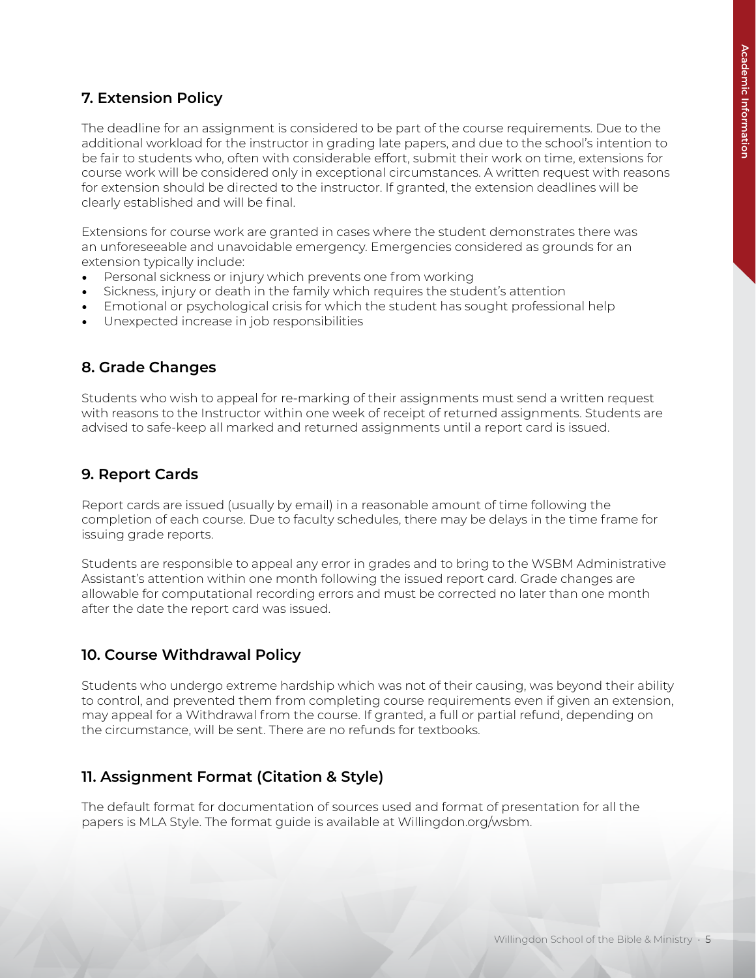## **7. Extension Policy**

The deadline for an assignment is considered to be part of the course requirements. Due to the additional workload for the instructor in grading late papers, and due to the school's intention to be fair to students who, often with considerable effort, submit their work on time, extensions for course work will be considered only in exceptional circumstances. A written request with reasons for extension should be directed to the instructor. If granted, the extension deadlines will be clearly established and will be final.

Extensions for course work are granted in cases where the student demonstrates there was an unforeseeable and unavoidable emergency. Emergencies considered as grounds for an extension typically include:

- Personal sickness or injury which prevents one from working
- Sickness, injury or death in the family which requires the student's attention
- Emotional or psychological crisis for which the student has sought professional help
- Unexpected increase in job responsibilities

#### **8. Grade Changes**

Students who wish to appeal for re-marking of their assignments must send a written request with reasons to the Instructor within one week of receipt of returned assignments. Students are advised to safe-keep all marked and returned assignments until a report card is issued.

#### **9. Report Cards**

Report cards are issued (usually by email) in a reasonable amount of time following the completion of each course. Due to faculty schedules, there may be delays in the time frame for issuing grade reports.

Students are responsible to appeal any error in grades and to bring to the WSBM Administrative Assistant's attention within one month following the issued report card. Grade changes are allowable for computational recording errors and must be corrected no later than one month after the date the report card was issued.

#### **10. Course Withdrawal Policy**

Students who undergo extreme hardship which was not of their causing, was beyond their ability to control, and prevented them from completing course requirements even if given an extension, may appeal for a Withdrawal from the course. If granted, a full or partial refund, depending on the circumstance, will be sent. There are no refunds for textbooks.

#### **11. Assignment Format (Citation & Style)**

The default format for documentation of sources used and format of presentation for all the papers is MLA Style. The format guide is available at Willingdon.org/wsbm.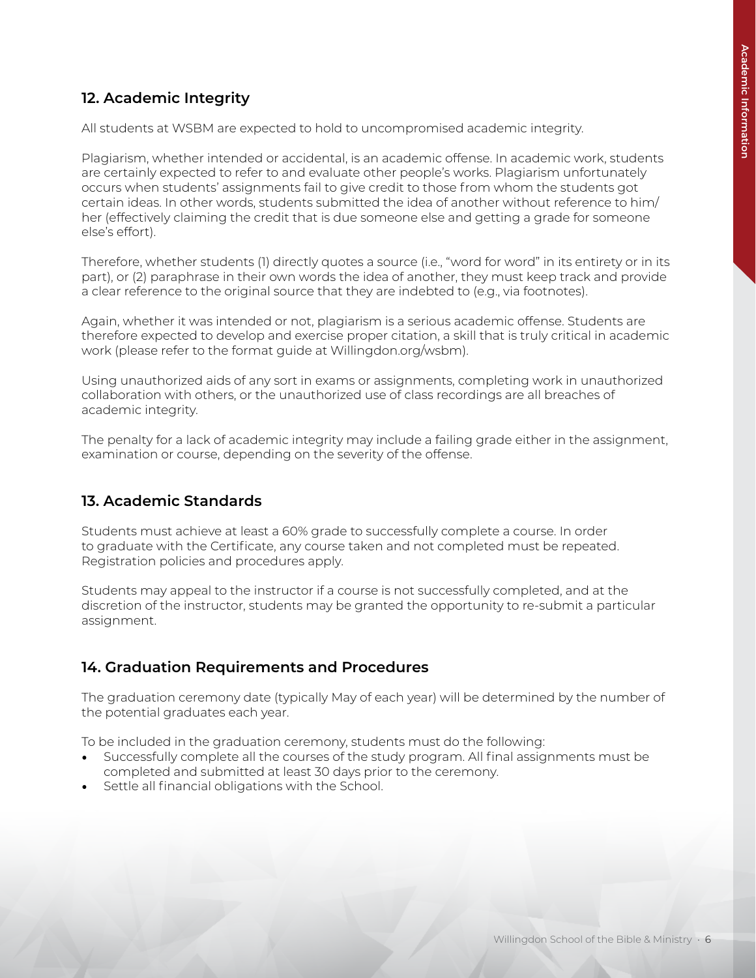# **12. Academic Integrity**

All students at WSBM are expected to hold to uncompromised academic integrity.

Plagiarism, whether intended or accidental, is an academic offense. In academic work, students are certainly expected to refer to and evaluate other people's works. Plagiarism unfortunately occurs when students' assignments fail to give credit to those from whom the students got certain ideas. In other words, students submitted the idea of another without reference to him/ her (effectively claiming the credit that is due someone else and getting a grade for someone else's effort).

Therefore, whether students (1) directly quotes a source (i.e., "word for word" in its entirety or in its part), or (2) paraphrase in their own words the idea of another, they must keep track and provide a clear reference to the original source that they are indebted to (e.g., via footnotes).

Again, whether it was intended or not, plagiarism is a serious academic offense. Students are therefore expected to develop and exercise proper citation, a skill that is truly critical in academic work (please refer to the format guide at Willingdon.org/wsbm).

Using unauthorized aids of any sort in exams or assignments, completing work in unauthorized collaboration with others, or the unauthorized use of class recordings are all breaches of academic integrity.

The penalty for a lack of academic integrity may include a failing grade either in the assignment, examination or course, depending on the severity of the offense.

#### **13. Academic Standards**

Students must achieve at least a 60% grade to successfully complete a course. In order to graduate with the Certificate, any course taken and not completed must be repeated. Registration policies and procedures apply.

Students may appeal to the instructor if a course is not successfully completed, and at the discretion of the instructor, students may be granted the opportunity to re-submit a particular assignment.

#### **14. Graduation Requirements and Procedures**

The graduation ceremony date (typically May of each year) will be determined by the number of the potential graduates each year.

To be included in the graduation ceremony, students must do the following:

- Successfully complete all the courses of the study program. All final assignments must be completed and submitted at least 30 days prior to the ceremony.
- Settle all financial obligations with the School.